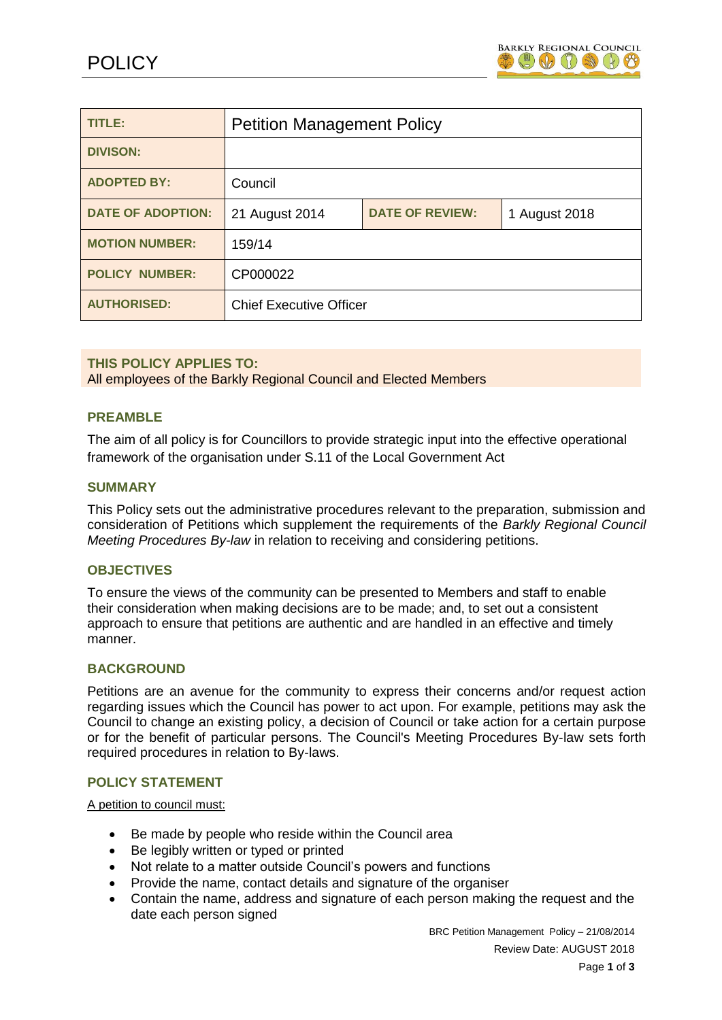

| TITLE:                   | <b>Petition Management Policy</b> |                        |               |
|--------------------------|-----------------------------------|------------------------|---------------|
| <b>DIVISON:</b>          |                                   |                        |               |
| <b>ADOPTED BY:</b>       | Council                           |                        |               |
| <b>DATE OF ADOPTION:</b> | 21 August 2014                    | <b>DATE OF REVIEW:</b> | 1 August 2018 |
| <b>MOTION NUMBER:</b>    | 159/14                            |                        |               |
| <b>POLICY NUMBER:</b>    | CP000022                          |                        |               |
| <b>AUTHORISED:</b>       | <b>Chief Executive Officer</b>    |                        |               |

# **THIS POLICY APPLIES TO:**

All employees of the Barkly Regional Council and Elected Members

## **PREAMBLE**

The aim of all policy is for Councillors to provide strategic input into the effective operational framework of the organisation under S.11 of the Local Government Act

### **SUMMARY**

This Policy sets out the administrative procedures relevant to the preparation, submission and consideration of Petitions which supplement the requirements of the *Barkly Regional Council Meeting Procedures By-law* in relation to receiving and considering petitions.

### **OBJECTIVES**

To ensure the views of the community can be presented to Members and staff to enable their consideration when making decisions are to be made; and, to set out a consistent approach to ensure that petitions are authentic and are handled in an effective and timely manner.

### **BACKGROUND**

Petitions are an avenue for the community to express their concerns and/or request action regarding issues which the Council has power to act upon. For example, petitions may ask the Council to change an existing policy, a decision of Council or take action for a certain purpose or for the benefit of particular persons. The Council's Meeting Procedures By-law sets forth required procedures in relation to By-laws.

#### **POLICY STATEMENT**

A petition to council must:

- Be made by people who reside within the Council area
- Be legibly written or typed or printed
- Not relate to a matter outside Council's powers and functions
- Provide the name, contact details and signature of the organiser
- Contain the name, address and signature of each person making the request and the date each person signed

BRC Petition Management Policy – 21/08/2014 Review Date: AUGUST 2018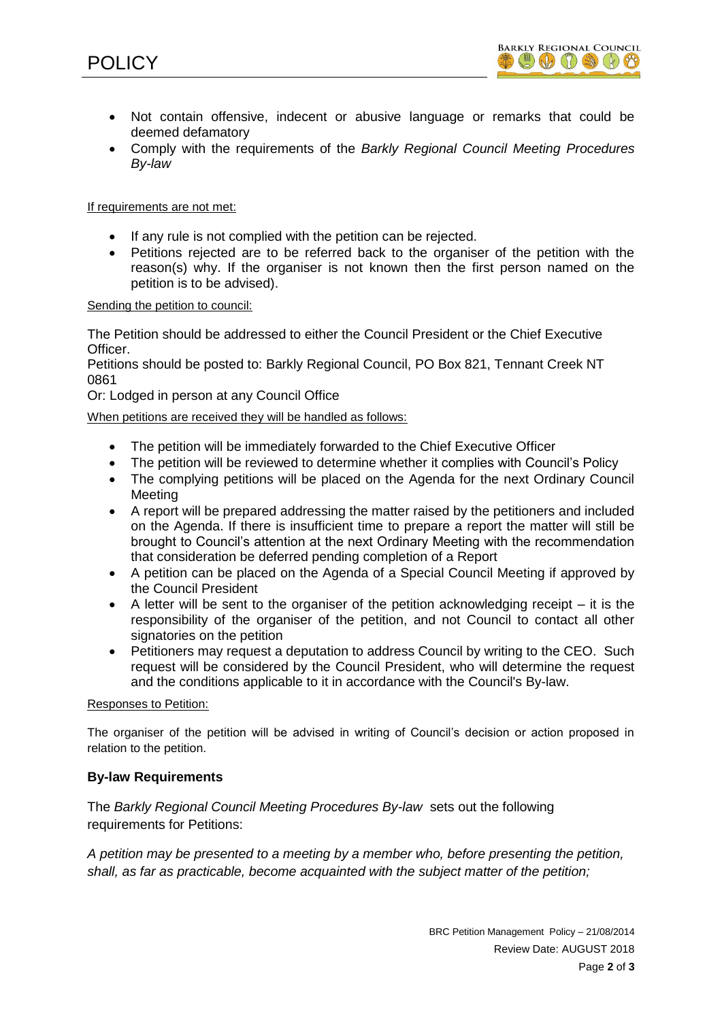- Not contain offensive, indecent or abusive language or remarks that could be deemed defamatory
- Comply with the requirements of the *Barkly Regional Council Meeting Procedures By-law*

If requirements are not met:

- If any rule is not complied with the petition can be rejected.
- Petitions rejected are to be referred back to the organiser of the petition with the reason(s) why. If the organiser is not known then the first person named on the petition is to be advised).

Sending the petition to council:

The Petition should be addressed to either the Council President or the Chief Executive Officer.

Petitions should be posted to: Barkly Regional Council, PO Box 821, Tennant Creek NT 0861

Or: Lodged in person at any Council Office

When petitions are received they will be handled as follows:

- The petition will be immediately forwarded to the Chief Executive Officer
- The petition will be reviewed to determine whether it complies with Council's Policy
- The complying petitions will be placed on the Agenda for the next Ordinary Council Meeting
- A report will be prepared addressing the matter raised by the petitioners and included on the Agenda. If there is insufficient time to prepare a report the matter will still be brought to Council's attention at the next Ordinary Meeting with the recommendation that consideration be deferred pending completion of a Report
- A petition can be placed on the Agenda of a Special Council Meeting if approved by the Council President
- $\bullet$  A letter will be sent to the organiser of the petition acknowledging receipt it is the responsibility of the organiser of the petition, and not Council to contact all other signatories on the petition
- Petitioners may request a deputation to address Council by writing to the CEO. Such request will be considered by the Council President, who will determine the request and the conditions applicable to it in accordance with the Council's By-law.

### Responses to Petition:

The organiser of the petition will be advised in writing of Council's decision or action proposed in relation to the petition.

### **By-law Requirements**

The *Barkly Regional Council Meeting Procedures By-law* sets out the following requirements for Petitions:

*A petition may be presented to a meeting by a member who, before presenting the petition, shall, as far as practicable, become acquainted with the subject matter of the petition;*